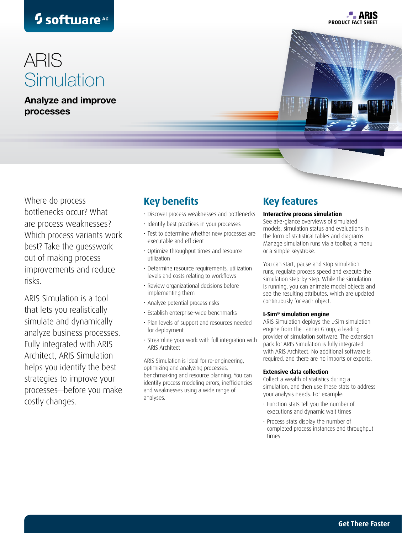# <sup>5</sup> software<sup>AG</sup>

# ARIS **Simulation**

Analyze and improve processes



**PRODUCT FACT SH** 

**P. ARIS** 

Where do process bottlenecks occur? What are process weaknesses? Which process variants work best? Take the guesswork out of making process improvements and reduce risks.

ARIS Simulation is a tool that lets you realistically simulate and dynamically analyze business processes. Fully integrated with ARIS Architect, ARIS Simulation helps you identify the best strategies to improve your processes—before you make costly changes.

### **Key benefits**

- Discover process weaknesses and bottlenecks
- Identify best practices in your processes
- Test to determine whether new processes are executable and efficient
- Optimize throughput times and resource utilization
- Determine resource requirements, utilization levels and costs relating to workflows
- Review organizational decisions before implementing them
- Analyze potential process risks
- Establish enterprise-wide benchmarks
- Plan levels of support and resources needed for deployment
- Streamline your work with full integration with ARIS Architect

ARIS Simulation is ideal for re-engineering, optimizing and analyzing processes, benchmarking and resource planning. You can identify process modeling errors, inefficiencies and weaknesses using a wide range of analyses.

### **Key features**

#### **Interactive process simulation**

See at-a-glance overviews of simulated models, simulation status and evaluations in the form of statistical tables and diagrams. Manage simulation runs via a toolbar, a menu or a simple keystroke.

You can start, pause and stop simulation runs, regulate process speed and execute the simulation step-by-step. While the simulation is running, you can animate model objects and see the resulting attributes, which are updated continuously for each object.

#### **L-Sim® simulation engine**

ARIS Simulation deploys the L-Sim simulation engine from the Lanner Group, a leading provider of simulation software. The extension pack for ARIS Simulation is fully integrated with ARIS Architect. No additional software is required, and there are no imports or exports.

#### **Extensive data collection**

Collect a wealth of statistics during a simulation, and then use these stats to address your analysis needs. For example:

- Function stats tell you the number of executions and dynamic wait times
- Process stats display the number of completed process instances and throughput times